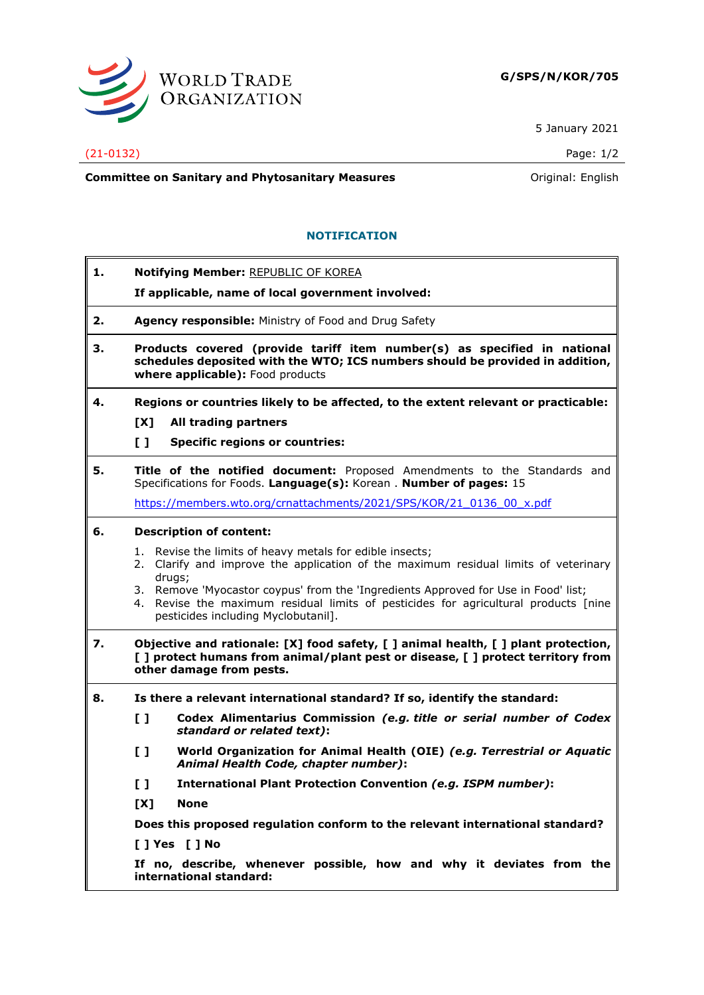

5 January 2021

## (21-0132) Page: 1/2

**Committee on Sanitary and Phytosanitary Measures Committee on Sanitary and Phytosanitary Measures Committee And American** 

## **NOTIFICATION**

- **1. Notifying Member:** REPUBLIC OF KOREA
	- **If applicable, name of local government involved:**
- **2. Agency responsible:** Ministry of Food and Drug Safety
- **3. Products covered (provide tariff item number(s) as specified in national schedules deposited with the WTO; ICS numbers should be provided in addition, where applicable):** Food products
- **4. Regions or countries likely to be affected, to the extent relevant or practicable: [X] All trading partners**
	-
	- **[ ] Specific regions or countries:**
- **5. Title of the notified document:** Proposed Amendments to the Standards and Specifications for Foods. **Language(s):** Korean . **Number of pages:** 15

[https://members.wto.org/crnattachments/2021/SPS/KOR/21\\_0136\\_00\\_x.pdf](https://members.wto.org/crnattachments/2021/SPS/KOR/21_0136_00_x.pdf)

## **6. Description of content:**

- 1. Revise the limits of heavy metals for edible insects;
- 2. Clarify and improve the application of the maximum residual limits of veterinary drugs:
- 3. Remove 'Myocastor coypus' from the 'Ingredients Approved for Use in Food' list;
- 4. Revise the maximum residual limits of pesticides for agricultural products [nine pesticides including Myclobutanil].
- **7. Objective and rationale: [X] food safety, [ ] animal health, [ ] plant protection, [ ] protect humans from animal/plant pest or disease, [ ] protect territory from other damage from pests.**
- **8. Is there a relevant international standard? If so, identify the standard:**
	- **[ ] Codex Alimentarius Commission** *(e.g. title or serial number of Codex standard or related text)***:**
	- **[ ] World Organization for Animal Health (OIE)** *(e.g. Terrestrial or Aquatic Animal Health Code, chapter number)***:**
	- **[ ] International Plant Protection Convention** *(e.g. ISPM number)***:**
	- **[X] None**

**Does this proposed regulation conform to the relevant international standard?** 

**[ ] Yes [ ] No**

**If no, describe, whenever possible, how and why it deviates from the international standard:**